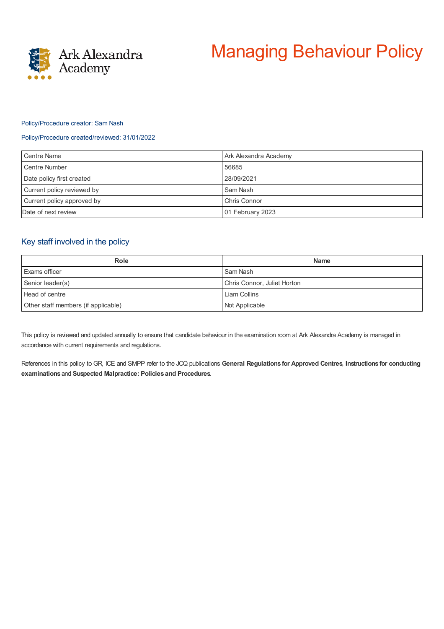

# Managing Behaviour Policy

#### Policy/Procedure creator: Sam Nash

#### Policy/Procedure created/reviewed: 31/01/2022

| Centre Name                | Ark Alexandra Academy |
|----------------------------|-----------------------|
| Centre Number              | 56685                 |
| Date policy first created  | 28/09/2021            |
| Current policy reviewed by | Sam Nash              |
| Current policy approved by | Chris Connor          |
| Date of next review        | 01 February 2023      |

## Key staff involved in the policy

| <b>Role</b>                         | <b>Name</b>                 |
|-------------------------------------|-----------------------------|
| Exams officer                       | Sam Nash                    |
| Senior leader(s)                    | Chris Connor, Juliet Horton |
| Head of centre                      | Liam Collins                |
| Other staff members (if applicable) | Not Applicable              |

This policy is reviewed and updated annually to ensure that candidate behaviour in the examination room at Ark Alexandra Academy is managed in accordance with current requirements and regulations.

References in this policy to GR, ICE and SMPP refer to the JCQ publications **General Regulations for Approved Centres**, **Instructions for conducting examinations** and **Suspected Malpractice: Policies and Procedures**.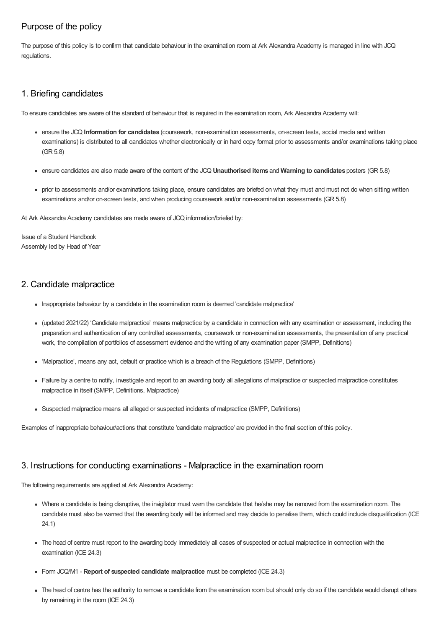# Purpose of the policy

The purpose of this policy is to confirm that candidate behaviour in the examination room at Ark Alexandra Academy is managed in line with JCQ regulations.

# 1. Briefing candidates

To ensure candidates are aware of the standard of behaviour that is required in the examination room, Ark Alexandra Academy will:

- ensure the JCQ **Information for candidates** (coursework, non-examination assessments, on-screen tests, social media and written examinations) is distributed to all candidates whether electronically or in hard copy format prior to assessments and/or examinations taking place (GR 5.8)
- ensure candidates are also made aware of the content of the JCQ **Unauthorised items** and **Warning to candidates** posters (GR 5.8)
- prior to assessments and/or examinations taking place, ensure candidates are briefed on what they must and must not do when sitting written examinations and/or on-screen tests, and when producing coursework and/or non-examination assessments (GR 5.8)

At Ark Alexandra Academy candidates are made aware of JCQ information/briefed by:

Issue of a Student Handbook Assembly led by Head of Year

# 2. Candidate malpractice

- Inappropriate behaviour by a candidate in the examination room is deemed 'candidate malpractice'
- (updated 2021/22) 'Candidate malpractice' means malpractice by a candidate in connection with any examination or assessment, including the preparation and authentication of any controlled assessments, coursework or non-examination assessments, the presentation of any practical work, the compilation of portfolios of assessment evidence and the writing of any examination paper (SMPP, Definitions)
- 'Malpractice', means any act, default or practice which is a breach of the Regulations (SMPP, Definitions)
- Failure by a centre to notify, investigate and report to an awarding body all allegations of malpractice or suspected malpractice constitutes malpractice in itself (SMPP, Definitions, Malpractice)
- Suspected malpractice means all alleged or suspected incidents of malpractice (SMPP, Definitions)

Examples of inappropriate behaviour/actions that constitute 'candidate malpractice' are provided in the final section of this policy.

## 3. Instructions for conducting examinations - Malpractice in the examination room

The following requirements are applied at Ark Alexandra Academy:

- Where a candidate is being disruptive, the invigilator must warn the candidate that he/she may be removed from the examination room. The candidate must also be warned that the awarding body will be informed and may decide to penalise them, which could include disqualification (ICE 24.1)
- The head of centre must report to the awarding body immediately all cases of suspected or actual malpractice in connection with the examination (ICE 24.3)
- Form JCQ/M1 **Report of suspected candidate malpractice** must be completed (ICE 24.3)
- The head of centre has the authority to remove a candidate from the examination room but should only do so if the candidate would disrupt others by remaining in the room (ICE 24.3)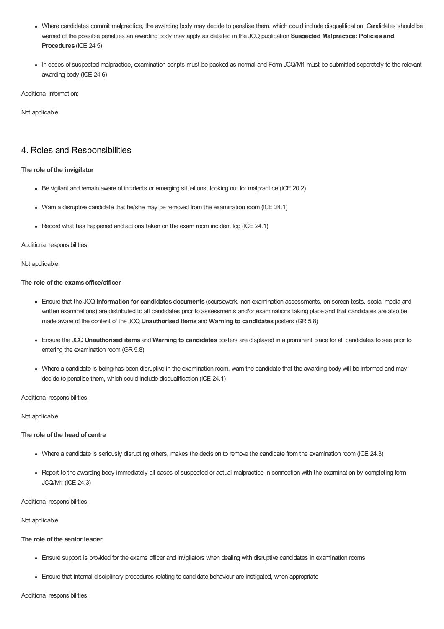- Where candidates commit malpractice, the awarding body may decide to penalise them, which could include disqualification. Candidates should be warned of the possible penalties an awarding body may apply as detailed in the JCQ publication **Suspected Malpractice: Policies and Procedures** (ICE 24.5)
- In cases of suspected malpractice, examination scripts must be packed as normal and Form JCQ/M1 must be submitted separately to the relevant awarding body (ICE 24.6)

Additional information:

Not applicable

# 4. Roles and Responsibilities

#### **The role of the invigilator**

- Be vigilant and remain aware of incidents or emerging situations, looking out for malpractice (ICE 20.2)
- Warn a disruptive candidate that he/she may be removed from the examination room (ICE 24.1)
- Record what has happened and actions taken on the exam room incident log (ICE 24.1)

#### Additional responsibilities:

#### Not applicable

#### **The role of the examsoffice/officer**

- Ensure that the JCQ Information for candidates documents (coursework, non-examination assessments, on-screen tests, social media and written examinations) are distributed to all candidates prior to assessments and/or examinations taking place and that candidates are also be made aware of the content of the JCQ **Unauthorised items** and **Warning to candidates** posters (GR 5.8)
- Ensure the JCQ **Unauthorised items** and **Warning to candidates** posters are displayed in a prominent place for all candidates to see prior to entering the examination room (GR 5.8)
- Where a candidate is being/has been disruptive in the examination room, warn the candidate that the awarding body will be informed and may decide to penalise them, which could include disqualification (ICE 24.1)

Additional responsibilities:

Not applicable

#### **The role of the head of centre**

- Where a candidate is seriously disrupting others, makes the decision to remove the candidate from the examination room (ICE 24.3)
- Report to the awarding body immediately all cases of suspected or actual malpractice in connection with the examination by completing form JCQ/M1 (ICE 24.3)

Additional responsibilities:

Not applicable

#### **The role of the senior leader**

- Ensure support is provided for the exams officer and invigilators when dealing with disruptive candidates in examination rooms
- Ensure that internal disciplinary procedures relating to candidate behaviour are instigated, when appropriate

Additional responsibilities: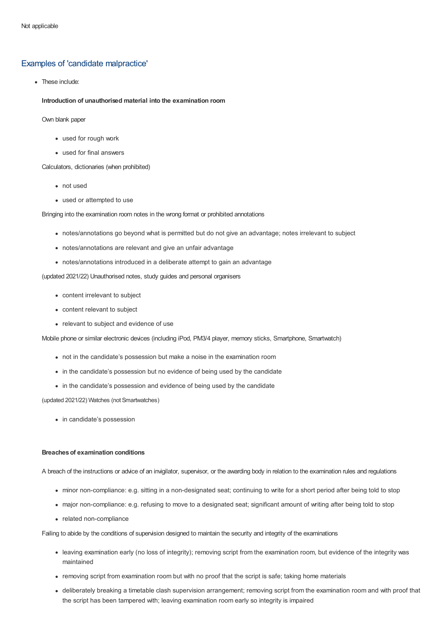## Examples of 'candidate malpractice'

• These include:

**Introduction of unauthorised material into the examination room**

Own blank paper

- used for rough work
- used for final answers

Calculators, dictionaries (when prohibited)

- not used
- used or attempted to use

Bringing into the examination room notes in the wrong format or prohibited annotations

- notes/annotations go beyond what is permitted but do not give an advantage; notes irrelevant to subject
- notes/annotations are relevant and give an unfair advantage
- notes/annotations introduced in a deliberate attempt to gain an advantage

(updated 2021/22) Unauthorised notes, study guides and personal organisers

- content irrelevant to subject
- content relevant to subject
- relevant to subject and evidence of use

Mobile phone or similar electronic devices (including iPod, PM3/4 player, memory sticks, Smartphone, Smartwatch)

- not in the candidate's possession but make a noise in the examination room
- in the candidate's possession but no evidence of being used by the candidate
- in the candidate's possession and evidence of being used by the candidate

(updated 2021/22) Watches (not Smartwatches)

• in candidate's possession

#### **Breaches of examination conditions**

A breach of the instructions or advice of an invigilator, supervisor, or the awarding body in relation to the examination rules and regulations

- minor non-compliance: e.g. sitting in a non-designated seat; continuing to write for a short period after being told to stop
- major non-compliance: e.g. refusing to move to a designated seat; significant amount of writing after being told to stop
- related non-compliance

Failing to abide by the conditions of supervision designed to maintain the security and integrity of the examinations

- leaving examination early (no loss of integrity); removing script from the examination room, but evidence of the integrity was maintained
- removing script from examination room but with no proof that the script is safe; taking home materials
- deliberately breaking a timetable clash supervision arrangement; removing script from the examination room and with proof that the script has been tampered with; leaving examination room early so integrity is impaired